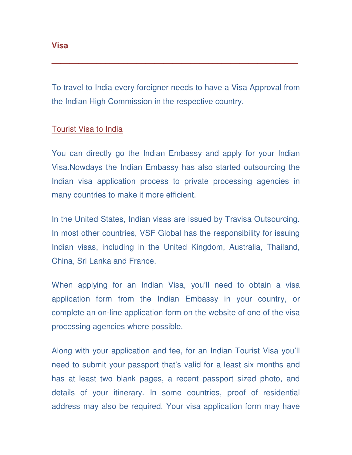To travel to India every foreigner needs to have a Visa Approval from the Indian High Commission in the respective country.

**\_\_\_\_\_\_\_\_\_\_\_\_\_\_\_\_\_\_\_\_\_\_\_\_\_\_\_\_\_\_\_\_\_\_\_\_\_\_\_\_\_\_\_\_\_\_\_\_\_\_\_\_\_\_\_** 

### Tourist Visa to India

You can directly go the Indian Embassy and apply for your Indian Visa.Nowdays the Indian Embassy has also started outsourcing the Indian visa application process to private processing agencies in many countries to make it more efficient.

In the United States, Indian visas are issued by Travisa Outsourcing. In most other countries, VSF Global has the responsibility for issuing Indian visas, including in the United Kingdom, Australia, Thailand, China, Sri Lanka and France.

When applying for an Indian Visa, you'll need to obtain a visa application form from the Indian Embassy in your country, or complete an on-line application form on the website of one of the visa processing agencies where possible.

Along with your application and fee, for an Indian Tourist Visa you'll need to submit your passport that's valid for a least six months and has at least two blank pages, a recent passport sized photo, and details of your itinerary. In some countries, proof of residential address may also be required. Your visa application form may have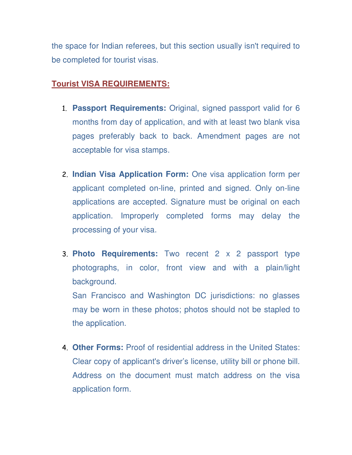the space for Indian referees, but this section usually isn't required to be completed for tourist visas.

# **Tourist VISA REQUIREMENTS:**

- 1. **Passport Requirements:** Original, signed passport valid for 6 months from day of application, and with at least two blank visa pages preferably back to back. Amendment pages are not acceptable for visa stamps.
- 2. **Indian Visa Application Form:** One visa application form per applicant completed on-line, printed and signed. Only on-line applications are accepted. Signature must be original on each application. Improperly completed forms may delay the processing of your visa.
- 3. **Photo Requirements:** Two recent 2 x 2 passport type photographs, in color, front view and with a plain/light background. San Francisco and Washington DC jurisdictions: no glasses

may be worn in these photos; photos should not be stapled to the application.

4. **Other Forms:** Proof of residential address in the United States: Clear copy of applicant's driver's license, utility bill or phone bill. Address on the document must match address on the visa application form.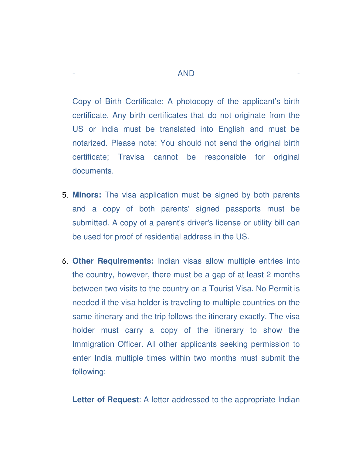Copy of Birth Certificate: A photocopy of the applicant's birth certificate. Any birth certificates that do not originate from the US or India must be translated into English and must be notarized. Please note: You should not send the original birth certificate; Travisa cannot be responsible for original documents.

- 5. **Minors:** The visa application must be signed by both parents and a copy of both parents' signed passports must be submitted. A copy of a parent's driver's license or utility bill can be used for proof of residential address in the US.
- 6. **Other Requirements:** Indian visas allow multiple entries into the country, however, there must be a gap of at least 2 months between two visits to the country on a Tourist Visa. No Permit is needed if the visa holder is traveling to multiple countries on the same itinerary and the trip follows the itinerary exactly. The visa holder must carry a copy of the itinerary to show the Immigration Officer. All other applicants seeking permission to enter India multiple times within two months must submit the following:

Letter of Request: A letter addressed to the appropriate Indian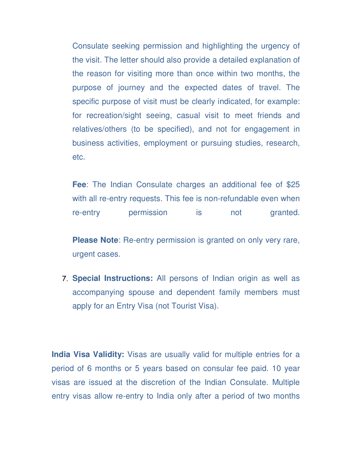Consulate seeking permission and highlighting the urgency of the visit. The letter should also provide a detailed explanation of the reason for visiting more than once within two months, the purpose of journey and the expected dates of travel. The specific purpose of visit must be clearly indicated, for example: for recreation/sight seeing, casual visit to meet friends and relatives/others (to be specified), and not for engagement in business activities, employment or pursuing studies, research, etc.

**Fee**: The Indian Consulate charges an additional fee of \$25 with all re-entry requests. This fee is non-refundable even when re-entry permission is not granted.

**Please Note**: Re-entry permission is granted on only very rare, urgent cases.

7. **Special Instructions:** All persons of Indian origin as well as accompanying spouse and dependent family members must apply for an Entry Visa (not Tourist Visa).

**India Visa Validity:** Visas are usually valid for multiple entries for a period of 6 months or 5 years based on consular fee paid. 10 year visas are issued at the discretion of the Indian Consulate. Multiple entry visas allow re-entry to India only after a period of two months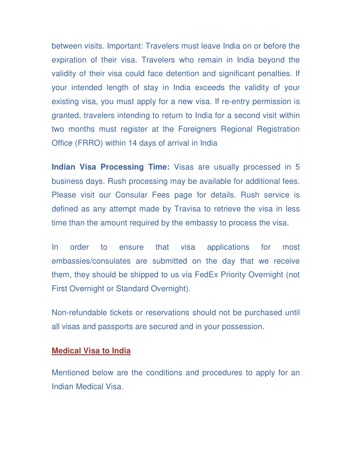between visits. Important: Travelers must leave India on or before the expiration of their visa. Travelers who remain in India beyond the validity of their visa could face detention and significant penalties. If your intended length of stay in India exceeds the validity of your existing visa, you must apply for a new visa. If re-entry permission is granted, travelers intending to return to India for a second visit within two months must register at the Foreigners Regional Registration Office (FRRO) within 14 days of arrival in India

**Indian Visa Processing Time:** Visas are usually processed in 5 business days. Rush processing may be available for additional fees. Please visit our Consular Fees page for details. Rush service is defined as any attempt made by Travisa to retrieve the visa in less time than the amount required by the embassy to process the visa.

In order to ensure that visa applications for most embassies/consulates are submitted on the day that we receive them, they should be shipped to us via FedEx Priority Overnight (not First Overnight or Standard Overnight).

Non-refundable tickets or reservations should not be purchased until all visas and passports are secured and in your possession.

#### **Medical Visa to India**

Mentioned below are the conditions and procedures to apply for an Indian Medical Visa.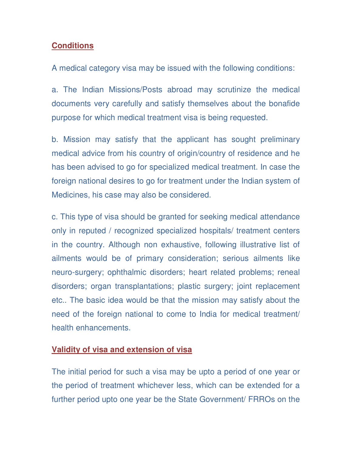### **Conditions**

A medical category visa may be issued with the following conditions:

a. The Indian Missions/Posts abroad may scrutinize the medical documents very carefully and satisfy themselves about the bonafide purpose for which medical treatment visa is being requested.

b. Mission may satisfy that the applicant has sought preliminary medical advice from his country of origin/country of residence and he has been advised to go for specialized medical treatment. In case the foreign national desires to go for treatment under the Indian system of Medicines, his case may also be considered.

c. This type of visa should be granted for seeking medical attendance only in reputed / recognized specialized hospitals/ treatment centers in the country. Although non exhaustive, following illustrative list of ailments would be of primary consideration; serious ailments like neuro-surgery; ophthalmic disorders; heart related problems; reneal disorders; organ transplantations; plastic surgery; joint replacement etc.. The basic idea would be that the mission may satisfy about the need of the foreign national to come to India for medical treatment/ health enhancements.

### **Validity of visa and extension of visa**

The initial period for such a visa may be upto a period of one year or the period of treatment whichever less, which can be extended for a further period upto one year be the State Government/ FRROs on the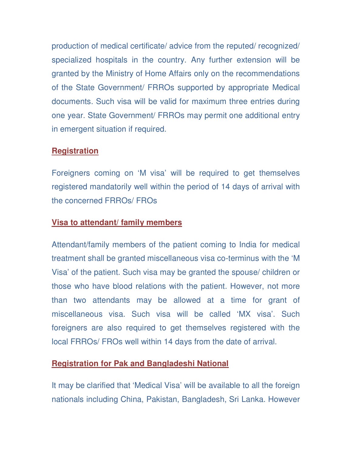production of medical certificate/ advice from the reputed/ recognized/ specialized hospitals in the country. Any further extension will be granted by the Ministry of Home Affairs only on the recommendations of the State Government/ FRROs supported by appropriate Medical documents. Such visa will be valid for maximum three entries during one year. State Government/ FRROs may permit one additional entry in emergent situation if required.

## **Registration**

Foreigners coming on 'M visa' will be required to get themselves registered mandatorily well within the period of 14 days of arrival with the concerned FRROs/ FROs

### **Visa to attendant/ family members**

Attendant/family members of the patient coming to India for medical treatment shall be granted miscellaneous visa co-terminus with the 'M Visa' of the patient. Such visa may be granted the spouse/ children or those who have blood relations with the patient. However, not more than two attendants may be allowed at a time for grant of miscellaneous visa. Such visa will be called 'MX visa'. Such foreigners are also required to get themselves registered with the local FRROs/ FROs well within 14 days from the date of arrival.

# **Registration for Pak and Bangladeshi National**

It may be clarified that 'Medical Visa' will be available to all the foreign nationals including China, Pakistan, Bangladesh, Sri Lanka. However